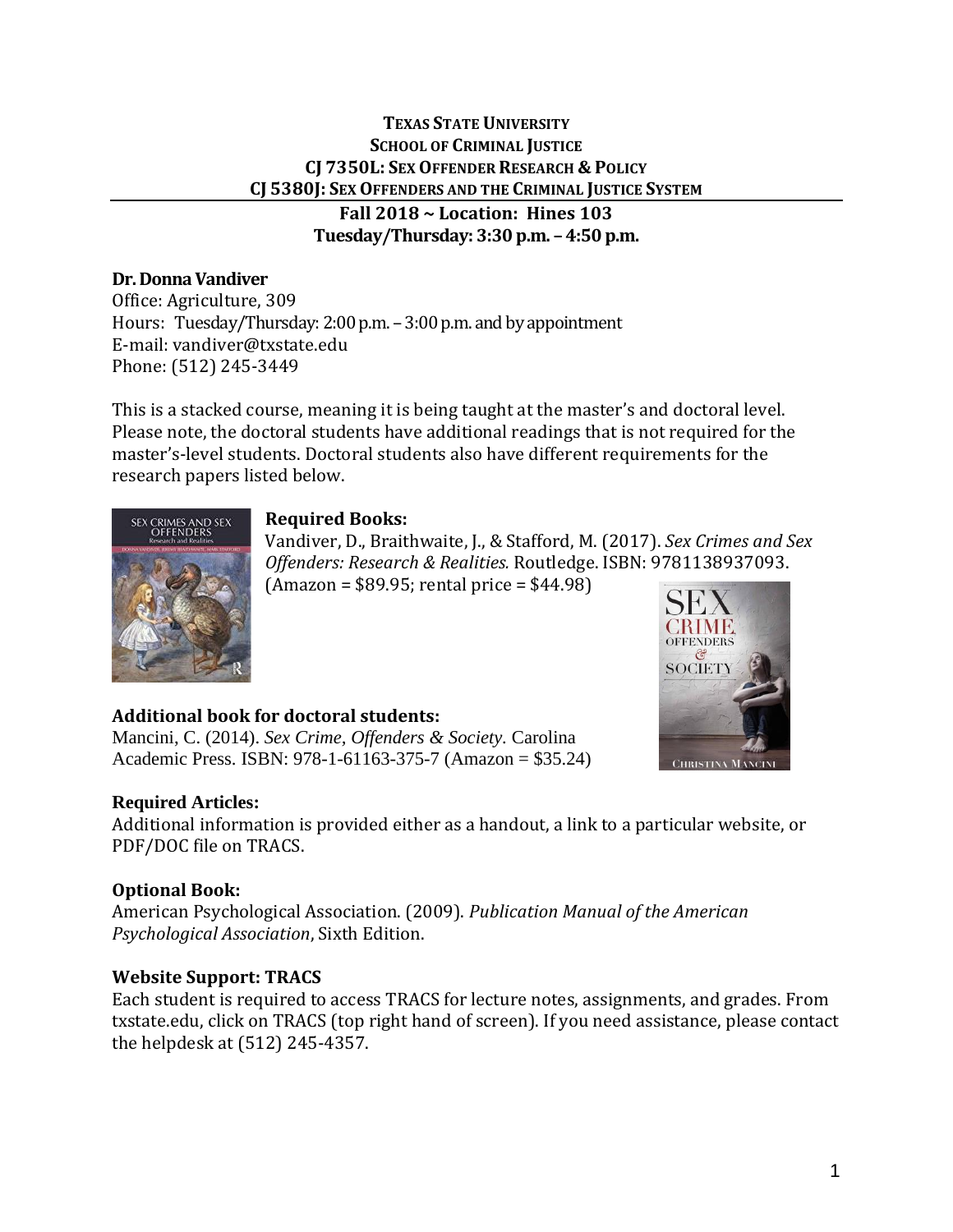# **TEXAS STATE UNIVERSITY SCHOOL OF CRIMINAL JUSTICE CJ 7350L: SEX OFFENDER RESEARCH & POLICY CJ 5380J: SEX OFFENDERS AND THE CRIMINAL JUSTICE SYSTEM**

**Fall 2018 ~ Location: Hines 103 Tuesday/Thursday: 3:30 p.m. – 4:50 p.m.** 

# **Dr. Donna Vandiver**

Office: Agriculture, 309 Hours: Tuesday/Thursday: 2:00 p.m. – 3:00 p.m. and by appointment E-mail: vandiver@txstate.edu Phone: (512) 245-3449

This is a stacked course, meaning it is being taught at the master's and doctoral level. Please note, the doctoral students have additional readings that is not required for the master's-level students. Doctoral students also have different requirements for the research papers listed below.

# **Required Books:**



Vandiver, D., Braithwaite, J., & Stafford, M. (2017). *Sex Crimes and Sex Offenders: Research & Realities.* Routledge. ISBN: 9781138937093.

 $(Amazon = $89.95; rental price = $44.98)$ 



# **Additional book for doctoral students:**

Mancini, C. (2014). *Sex Crime, Offenders & Society.* Carolina Academic Press. ISBN: 978-1-61163-375-7 (Amazon = \$35.24)

# **Required Articles:**

Additional information is provided either as a handout, a link to a particular website, or PDF/DOC file on TRACS.

# **Optional Book:**

American Psychological Association. (2009). *Publication Manual of the American Psychological Association*, Sixth Edition.

# **Website Support: TRACS**

Each student is required to access TRACS for lecture notes, assignments, and grades. From txstate.edu, click on TRACS (top right hand of screen). If you need assistance, please contact the helpdesk at (512) 245-4357.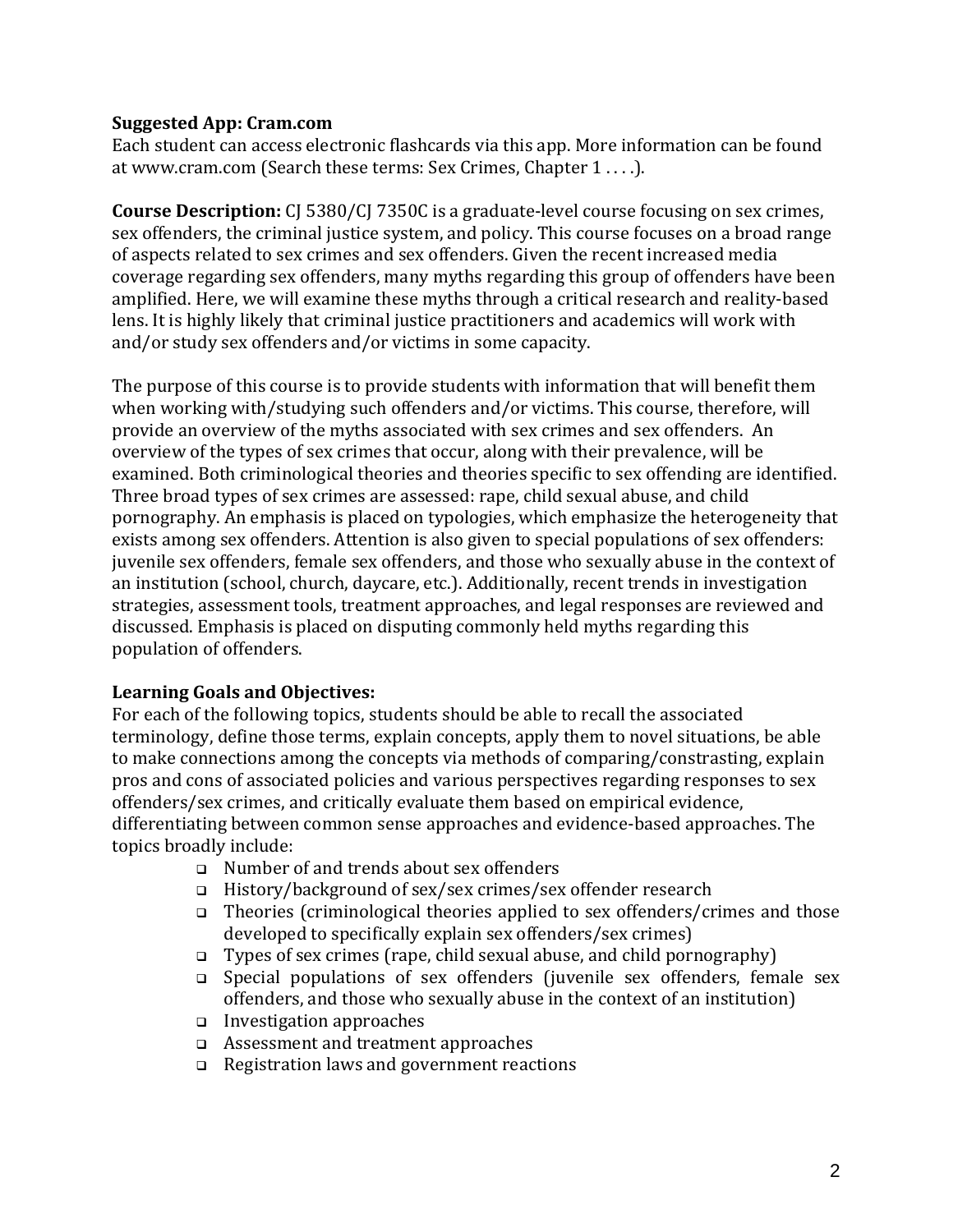# **Suggested App: Cram.com**

Each student can access electronic flashcards via this app. More information can be found at www.cram.com (Search these terms: Sex Crimes, Chapter 1 . . . .).

**Course Description:** CJ 5380/CJ 7350C is a graduate-level course focusing on sex crimes, sex offenders, the criminal justice system, and policy. This course focuses on a broad range of aspects related to sex crimes and sex offenders. Given the recent increased media coverage regarding sex offenders, many myths regarding this group of offenders have been amplified. Here, we will examine these myths through a critical research and reality-based lens. It is highly likely that criminal justice practitioners and academics will work with and/or study sex offenders and/or victims in some capacity.

The purpose of this course is to provide students with information that will benefit them when working with/studying such offenders and/or victims. This course, therefore, will provide an overview of the myths associated with sex crimes and sex offenders. An overview of the types of sex crimes that occur, along with their prevalence, will be examined. Both criminological theories and theories specific to sex offending are identified. Three broad types of sex crimes are assessed: rape, child sexual abuse, and child pornography. An emphasis is placed on typologies, which emphasize the heterogeneity that exists among sex offenders. Attention is also given to special populations of sex offenders: juvenile sex offenders, female sex offenders, and those who sexually abuse in the context of an institution (school, church, daycare, etc.). Additionally, recent trends in investigation strategies, assessment tools, treatment approaches, and legal responses are reviewed and discussed. Emphasis is placed on disputing commonly held myths regarding this population of offenders.

# **Learning Goals and Objectives:**

For each of the following topics, students should be able to recall the associated terminology, define those terms, explain concepts, apply them to novel situations, be able to make connections among the concepts via methods of comparing/constrasting, explain pros and cons of associated policies and various perspectives regarding responses to sex offenders/sex crimes, and critically evaluate them based on empirical evidence, differentiating between common sense approaches and evidence-based approaches. The topics broadly include:

- ❑ Number of and trends about sex offenders
- ❑ History/background of sex/sex crimes/sex offender research
- ❑ Theories (criminological theories applied to sex offenders/crimes and those developed to specifically explain sex offenders/sex crimes)
- ❑ Types of sex crimes (rape, child sexual abuse, and child pornography)
- ❑ Special populations of sex offenders (juvenile sex offenders, female sex offenders, and those who sexually abuse in the context of an institution)
- ❑ Investigation approaches
- ❑ Assessment and treatment approaches
- ❑ Registration laws and government reactions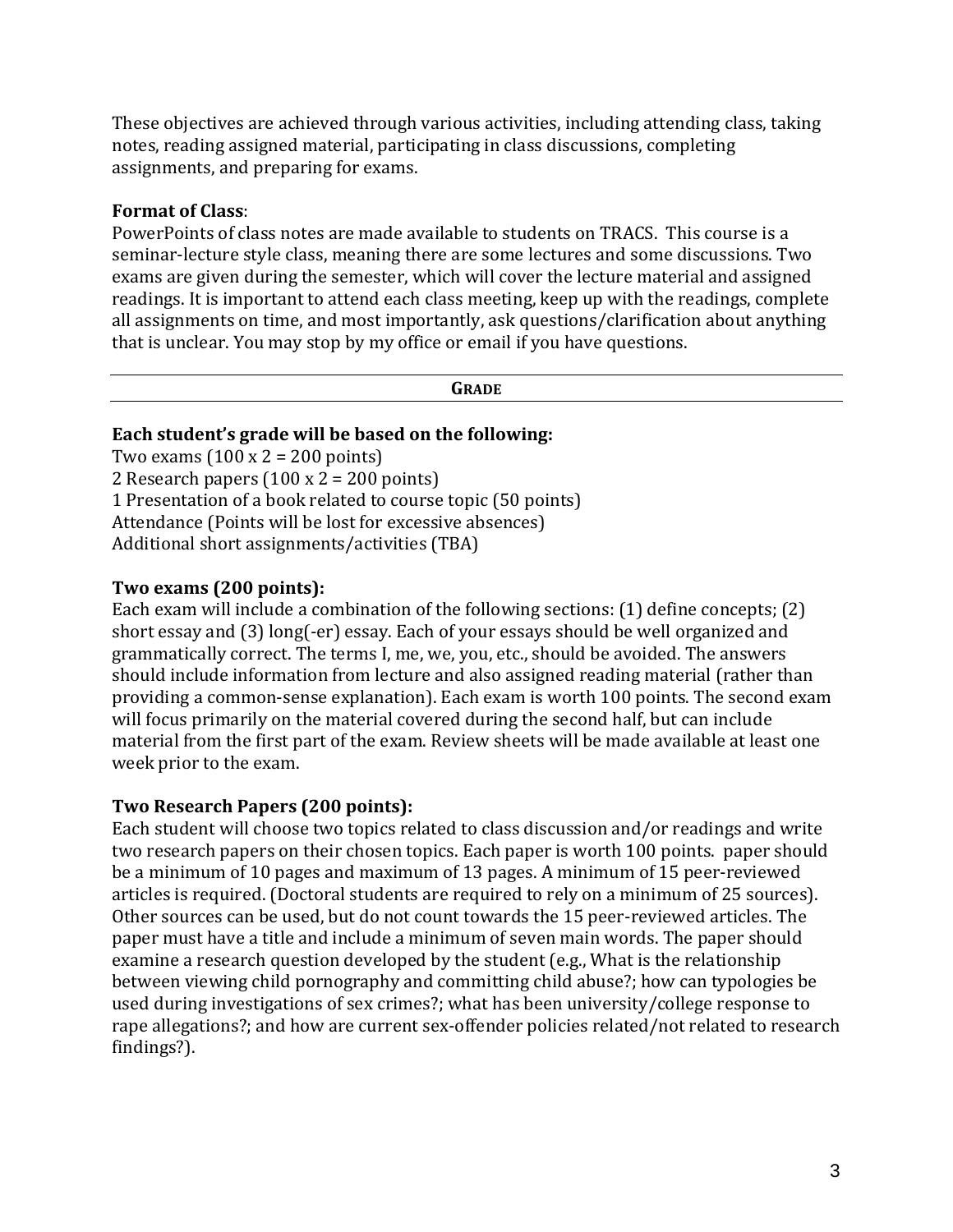These objectives are achieved through various activities, including attending class, taking notes, reading assigned material, participating in class discussions, completing assignments, and preparing for exams.

# **Format of Class**:

PowerPoints of class notes are made available to students on TRACS. This course is a seminar-lecture style class, meaning there are some lectures and some discussions. Two exams are given during the semester, which will cover the lecture material and assigned readings. It is important to attend each class meeting, keep up with the readings, complete all assignments on time, and most importantly, ask questions/clarification about anything that is unclear. You may stop by my office or email if you have questions.

#### **GRADE**

# **Each student's grade will be based on the following:**

Two exams  $(100 \times 2 = 200 \text{ points})$ 2 Research papers  $(100 \times 2 = 200 \text{ points})$ 1 Presentation of a book related to course topic (50 points) Attendance (Points will be lost for excessive absences) Additional short assignments/activities (TBA)

# **Two exams (200 points):**

Each exam will include a combination of the following sections: (1) define concepts; (2) short essay and (3) long(-er) essay. Each of your essays should be well organized and grammatically correct. The terms I, me, we, you, etc., should be avoided. The answers should include information from lecture and also assigned reading material (rather than providing a common-sense explanation). Each exam is worth 100 points. The second exam will focus primarily on the material covered during the second half, but can include material from the first part of the exam. Review sheets will be made available at least one week prior to the exam.

# **Two Research Papers (200 points):**

Each student will choose two topics related to class discussion and/or readings and write two research papers on their chosen topics. Each paper is worth 100 points. paper should be a minimum of 10 pages and maximum of 13 pages. A minimum of 15 peer-reviewed articles is required. (Doctoral students are required to rely on a minimum of 25 sources). Other sources can be used, but do not count towards the 15 peer-reviewed articles. The paper must have a title and include a minimum of seven main words. The paper should examine a research question developed by the student (e.g., What is the relationship between viewing child pornography and committing child abuse?; how can typologies be used during investigations of sex crimes?; what has been university/college response to rape allegations?; and how are current sex-offender policies related/not related to research findings?).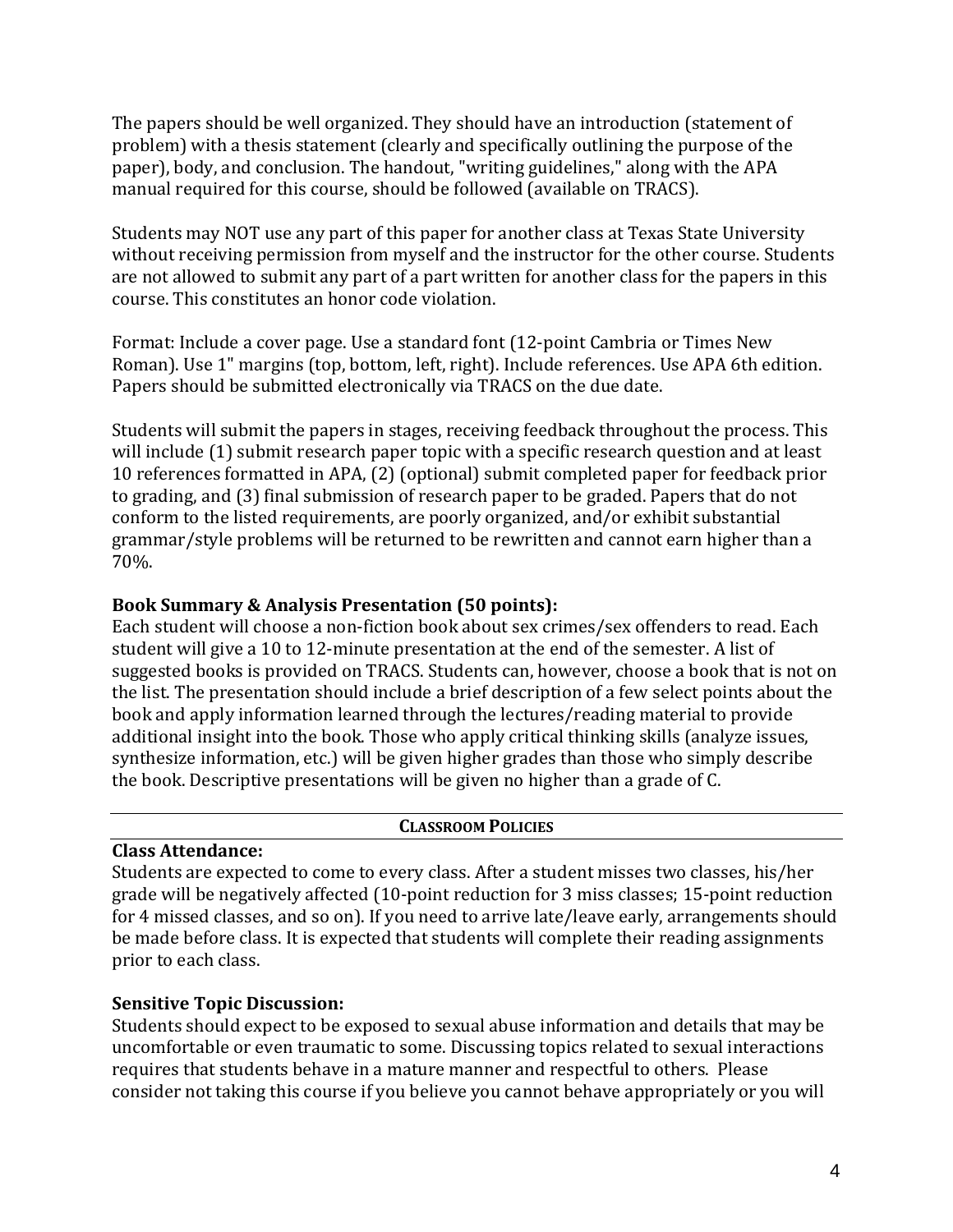The papers should be well organized. They should have an introduction (statement of problem) with a thesis statement (clearly and specifically outlining the purpose of the paper), body, and conclusion. The handout, "writing guidelines," along with the APA manual required for this course, should be followed (available on TRACS).

Students may NOT use any part of this paper for another class at Texas State University without receiving permission from myself and the instructor for the other course. Students are not allowed to submit any part of a part written for another class for the papers in this course. This constitutes an honor code violation.

Format: Include a cover page. Use a standard font (12-point Cambria or Times New Roman). Use 1" margins (top, bottom, left, right). Include references. Use APA 6th edition. Papers should be submitted electronically via TRACS on the due date.

Students will submit the papers in stages, receiving feedback throughout the process. This will include (1) submit research paper topic with a specific research question and at least 10 references formatted in APA, (2) (optional) submit completed paper for feedback prior to grading, and (3) final submission of research paper to be graded. Papers that do not conform to the listed requirements, are poorly organized, and/or exhibit substantial grammar/style problems will be returned to be rewritten and cannot earn higher than a 70%.

# **Book Summary & Analysis Presentation (50 points):**

Each student will choose a non-fiction book about sex crimes/sex offenders to read. Each student will give a 10 to 12-minute presentation at the end of the semester. A list of suggested books is provided on TRACS. Students can, however, choose a book that is not on the list. The presentation should include a brief description of a few select points about the book and apply information learned through the lectures/reading material to provide additional insight into the book. Those who apply critical thinking skills (analyze issues, synthesize information, etc.) will be given higher grades than those who simply describe the book. Descriptive presentations will be given no higher than a grade of C.

# **CLASSROOM POLICIES**

# **Class Attendance:**

Students are expected to come to every class. After a student misses two classes, his/her grade will be negatively affected (10-point reduction for 3 miss classes; 15-point reduction for 4 missed classes, and so on). If you need to arrive late/leave early, arrangements should be made before class. It is expected that students will complete their reading assignments prior to each class.

# **Sensitive Topic Discussion:**

Students should expect to be exposed to sexual abuse information and details that may be uncomfortable or even traumatic to some. Discussing topics related to sexual interactions requires that students behave in a mature manner and respectful to others. Please consider not taking this course if you believe you cannot behave appropriately or you will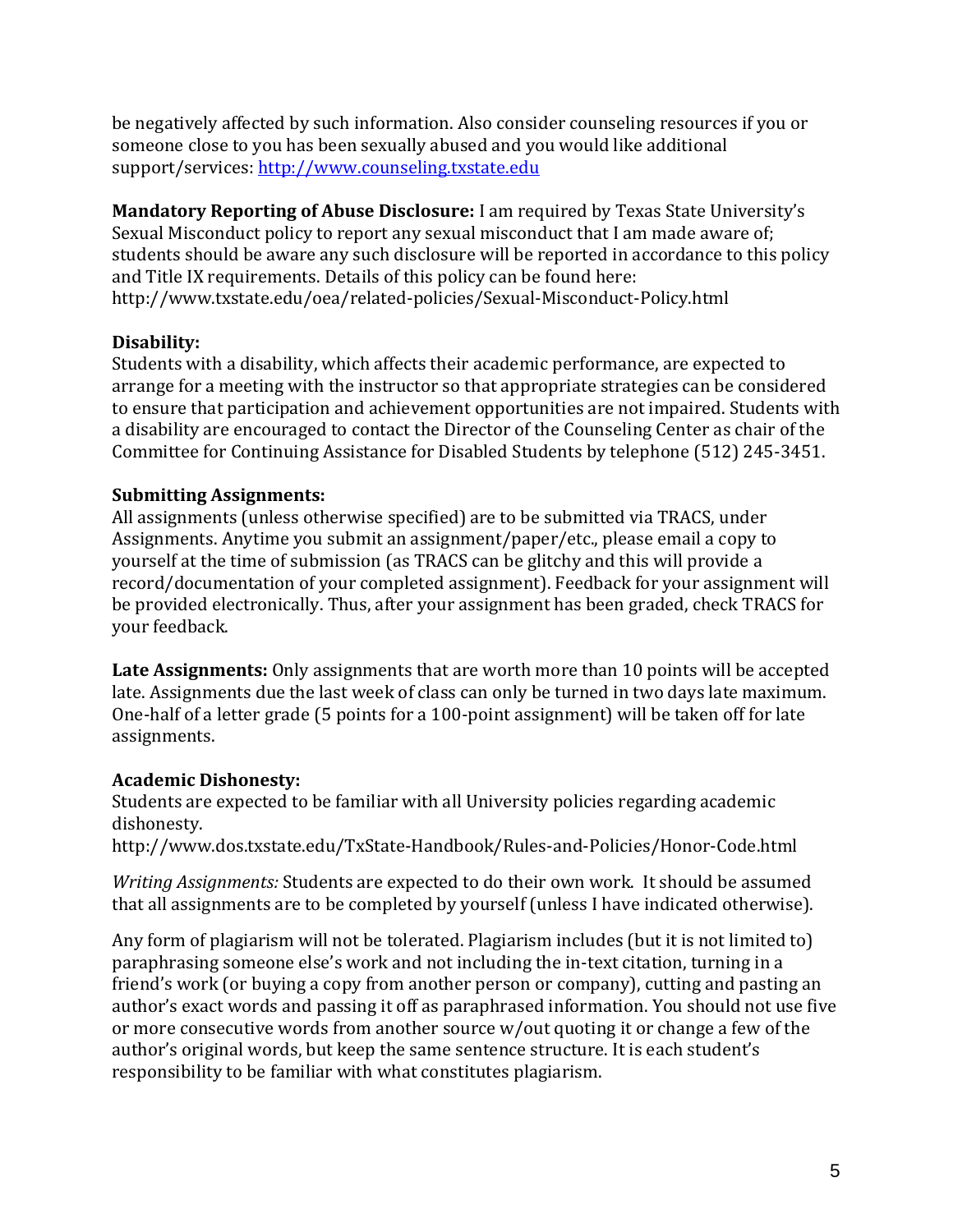be negatively affected by such information. Also consider counseling resources if you or someone close to you has been sexually abused and you would like additional support/services: [http://www.counseling.txstate.edu](http://www.counseling.txstate.edu/)

**Mandatory Reporting of Abuse Disclosure:** I am required by Texas State University's Sexual Misconduct policy to report any sexual misconduct that I am made aware of; students should be aware any such disclosure will be reported in accordance to this policy and Title IX requirements. Details of this policy can be found here: http://www.txstate.edu/oea/related-policies/Sexual-Misconduct-Policy.html

# **Disability:**

Students with a disability, which affects their academic performance, are expected to arrange for a meeting with the instructor so that appropriate strategies can be considered to ensure that participation and achievement opportunities are not impaired. Students with a disability are encouraged to contact the Director of the Counseling Center as chair of the Committee for Continuing Assistance for Disabled Students by telephone (512) 245-3451.

# **Submitting Assignments:**

All assignments (unless otherwise specified) are to be submitted via TRACS, under Assignments. Anytime you submit an assignment/paper/etc., please email a copy to yourself at the time of submission (as TRACS can be glitchy and this will provide a record/documentation of your completed assignment). Feedback for your assignment will be provided electronically. Thus, after your assignment has been graded, check TRACS for your feedback.

**Late Assignments:** Only assignments that are worth more than 10 points will be accepted late. Assignments due the last week of class can only be turned in two days late maximum. One-half of a letter grade (5 points for a 100-point assignment) will be taken off for late assignments.

# **Academic Dishonesty:**

Students are expected to be familiar with all University policies regarding academic dishonesty.

http://www.dos.txstate.edu/TxState-Handbook/Rules-and-Policies/Honor-Code.html

*Writing Assignments:* Students are expected to do their own work. It should be assumed that all assignments are to be completed by yourself (unless I have indicated otherwise).

Any form of plagiarism will not be tolerated. Plagiarism includes (but it is not limited to) paraphrasing someone else's work and not including the in-text citation, turning in a friend's work (or buying a copy from another person or company), cutting and pasting an author's exact words and passing it off as paraphrased information. You should not use five or more consecutive words from another source w/out quoting it or change a few of the author's original words, but keep the same sentence structure. It is each student's responsibility to be familiar with what constitutes plagiarism.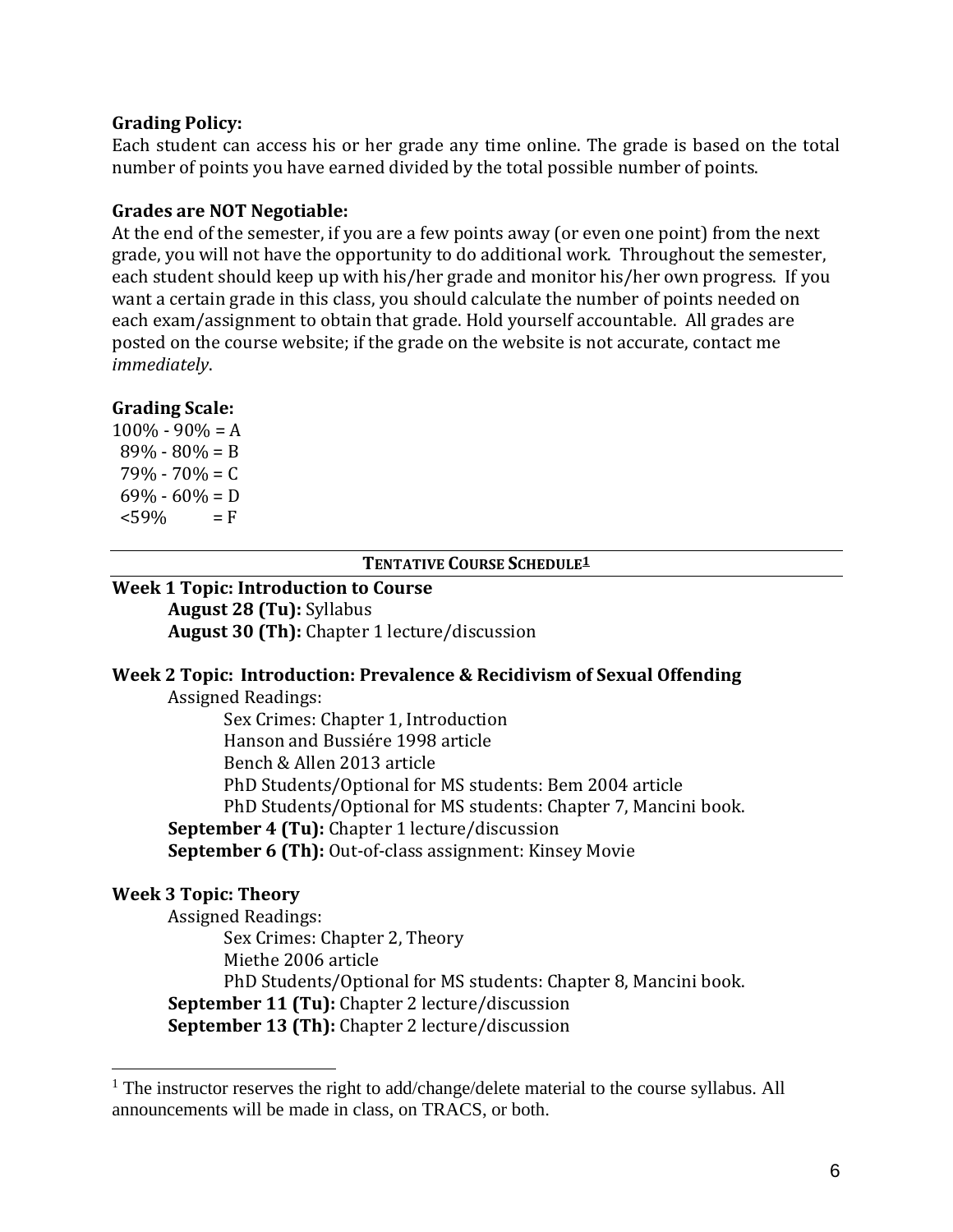#### **Grading Policy:**

Each student can access his or her grade any time online. The grade is based on the total number of points you have earned divided by the total possible number of points.

#### **Grades are NOT Negotiable:**

At the end of the semester, if you are a few points away (or even one point) from the next grade, you will not have the opportunity to do additional work. Throughout the semester, each student should keep up with his/her grade and monitor his/her own progress. If you want a certain grade in this class, you should calculate the number of points needed on each exam/assignment to obtain that grade. Hold yourself accountable. All grades are posted on the course website; if the grade on the website is not accurate, contact me *immediately*.

#### **Grading Scale:**

 $100\% - 90\% = A$  $89\% - 80\% = B$  $79\% - 70\% = C$  $69\% - 60\% = D$  $<$ 59% = F

#### **TENTATIVE COURSE SCHEDULE<sup>1</sup>**

**Week 1 Topic: Introduction to Course August 28 (Tu):** Syllabus **August 30 (Th):** Chapter 1 lecture/discussion

#### **Week 2 Topic: Introduction: Prevalence & Recidivism of Sexual Offending**

Assigned Readings:

Sex Crimes: Chapter 1, Introduction Hanson and Bussiére 1998 article Bench & Allen 2013 article PhD Students/Optional for MS students: Bem 2004 article PhD Students/Optional for MS students: Chapter 7, Mancini book. **September 4 (Tu):** Chapter 1 lecture/discussion **September 6 (Th):** Out-of-class assignment: Kinsey Movie

# **Week 3 Topic: Theory**

Assigned Readings: Sex Crimes: Chapter 2, Theory Miethe 2006 article PhD Students/Optional for MS students: Chapter 8, Mancini book. **September 11 (Tu):** Chapter 2 lecture/discussion **September 13 (Th):** Chapter 2 lecture/discussion

 $<sup>1</sup>$  The instructor reserves the right to add/change/delete material to the course syllabus. All</sup> announcements will be made in class, on TRACS, or both.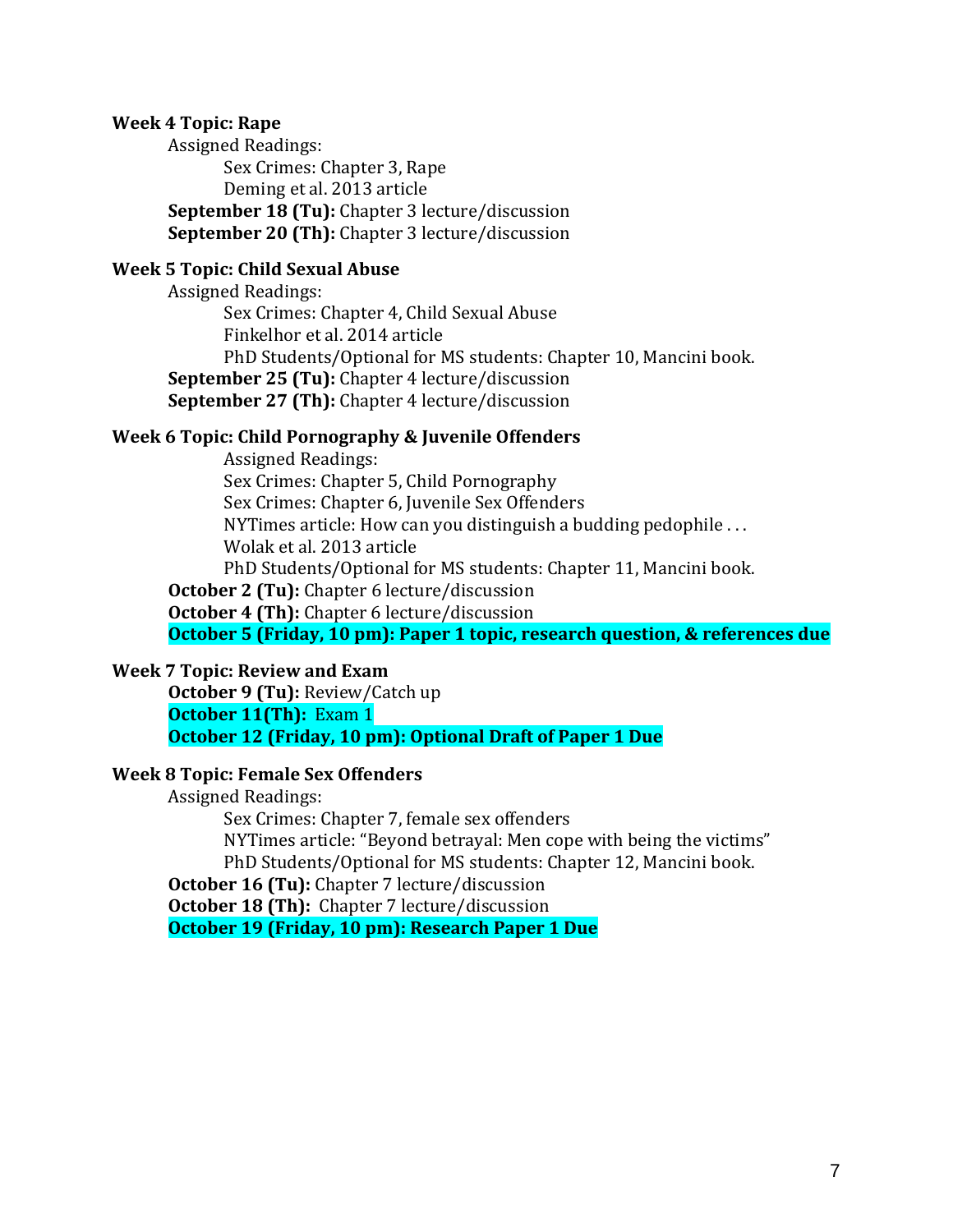#### **Week 4 Topic: Rape**

Assigned Readings: Sex Crimes: Chapter 3, Rape Deming et al. 2013 article **September 18 (Tu):** Chapter 3 lecture/discussion **September 20 (Th):** Chapter 3 lecture/discussion

#### **Week 5 Topic: Child Sexual Abuse**

Assigned Readings: Sex Crimes: Chapter 4, Child Sexual Abuse Finkelhor et al. 2014 article PhD Students/Optional for MS students: Chapter 10, Mancini book. **September 25 (Tu):** Chapter 4 lecture/discussion **September 27 (Th):** Chapter 4 lecture/discussion

#### **Week 6 Topic: Child Pornography & Juvenile Offenders**

Assigned Readings: Sex Crimes: Chapter 5, Child Pornography Sex Crimes: Chapter 6, Juvenile Sex Offenders NYTimes article: How can you distinguish a budding pedophile . . . Wolak et al. 2013 article PhD Students/Optional for MS students: Chapter 11, Mancini book. **October 2 (Tu):** Chapter 6 lecture/discussion

**October 4 (Th):** Chapter 6 lecture/discussion

**October 5 (Friday, 10 pm): Paper 1 topic, research question, & references due**

#### **Week 7 Topic: Review and Exam**

**October 9 (Tu):** Review/Catch up **October 11(Th):** Exam 1 **October 12 (Friday, 10 pm): Optional Draft of Paper 1 Due**

#### **Week 8 Topic: Female Sex Offenders**

Assigned Readings:

Sex Crimes: Chapter 7, female sex offenders NYTimes article: "Beyond betrayal: Men cope with being the victims" PhD Students/Optional for MS students: Chapter 12, Mancini book.

**October 16 (Tu):** Chapter 7 lecture/discussion

**October 18 (Th):** Chapter 7 lecture/discussion

**October 19 (Friday, 10 pm): Research Paper 1 Due**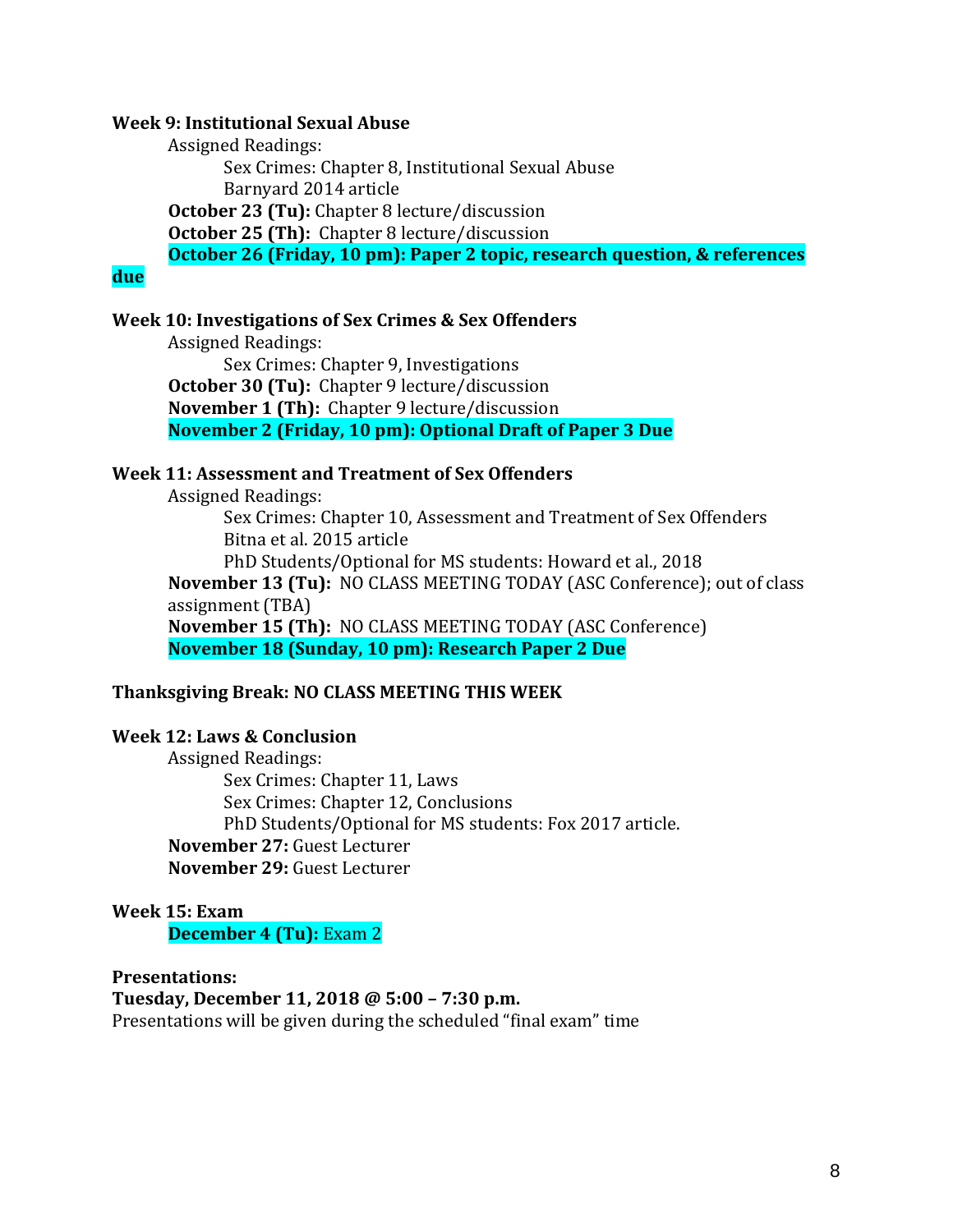#### **Week 9: Institutional Sexual Abuse**

Assigned Readings: Sex Crimes: Chapter 8, Institutional Sexual Abuse Barnyard 2014 article **October 23 (Tu):** Chapter 8 lecture/discussion **October 25 (Th):** Chapter 8 lecture/discussion **October 26 (Friday, 10 pm): Paper 2 topic, research question, & references** 

#### **due**

#### **Week 10: Investigations of Sex Crimes & Sex Offenders**

Assigned Readings: Sex Crimes: Chapter 9, Investigations **October 30 (Tu):** Chapter 9 lecture/discussion **November 1 (Th):** Chapter 9 lecture/discussion **November 2 (Friday, 10 pm): Optional Draft of Paper 3 Due**

#### **Week 11: Assessment and Treatment of Sex Offenders**

Assigned Readings:

Sex Crimes: Chapter 10, Assessment and Treatment of Sex Offenders Bitna et al. 2015 article PhD Students/Optional for MS students: Howard et al., 2018 **November 13 (Tu):** NO CLASS MEETING TODAY (ASC Conference); out of class assignment (TBA) **November 15 (Th):** NO CLASS MEETING TODAY (ASC Conference) **November 18 (Sunday, 10 pm): Research Paper 2 Due**

#### **Thanksgiving Break: NO CLASS MEETING THIS WEEK**

#### **Week 12: Laws & Conclusion**

Assigned Readings: Sex Crimes: Chapter 11, Laws Sex Crimes: Chapter 12, Conclusions PhD Students/Optional for MS students: Fox 2017 article. **November 27:** Guest Lecturer **November 29:** Guest Lecturer

#### **Week 15: Exam December 4 (Tu):** Exam 2

**Presentations: Tuesday, December 11, 2018 @ 5:00 – 7:30 p.m.** Presentations will be given during the scheduled "final exam" time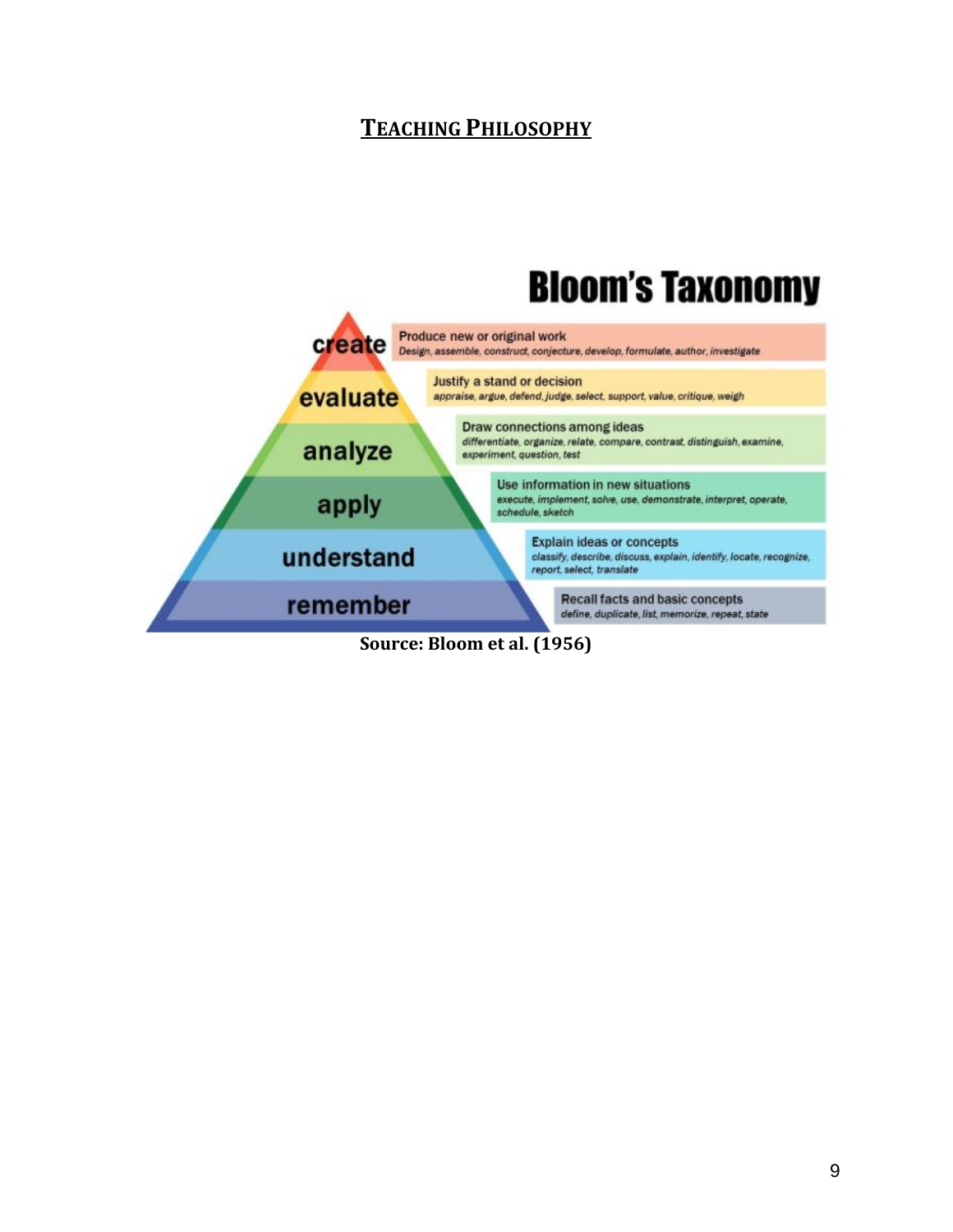# **TEACHING PHILOSOPHY**



**Source: Bloom et al. (1956)**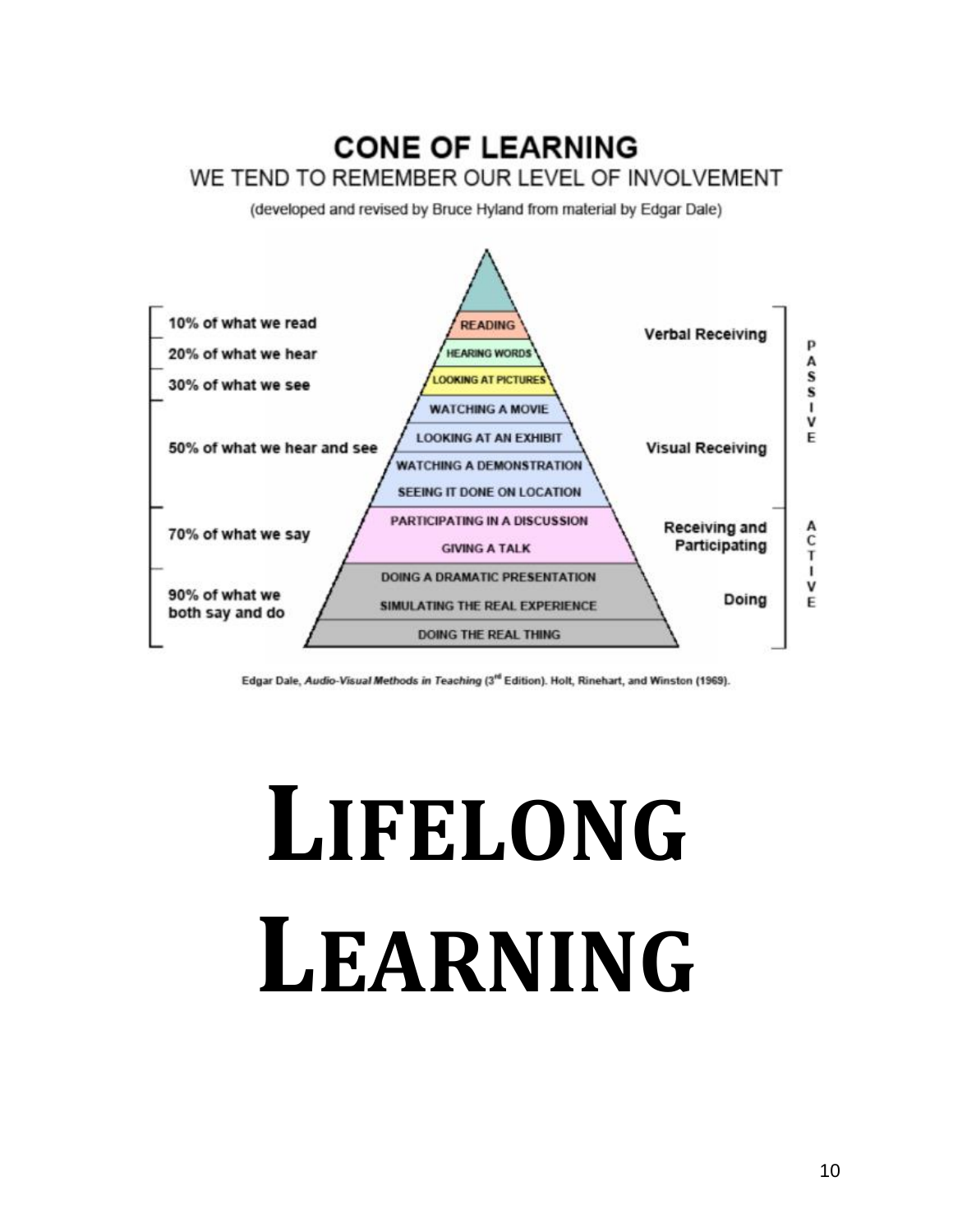# **CONE OF LEARNING** WE TEND TO REMEMBER OUR LEVEL OF INVOLVEMENT

(developed and revised by Bruce Hyland from material by Edgar Dale)



Edgar Dale, Audio-Visual Methods in Teaching (3<sup>rd</sup> Edition). Holt, Rinehart, and Winston (1969).

# **LIFELONG LEARNING**